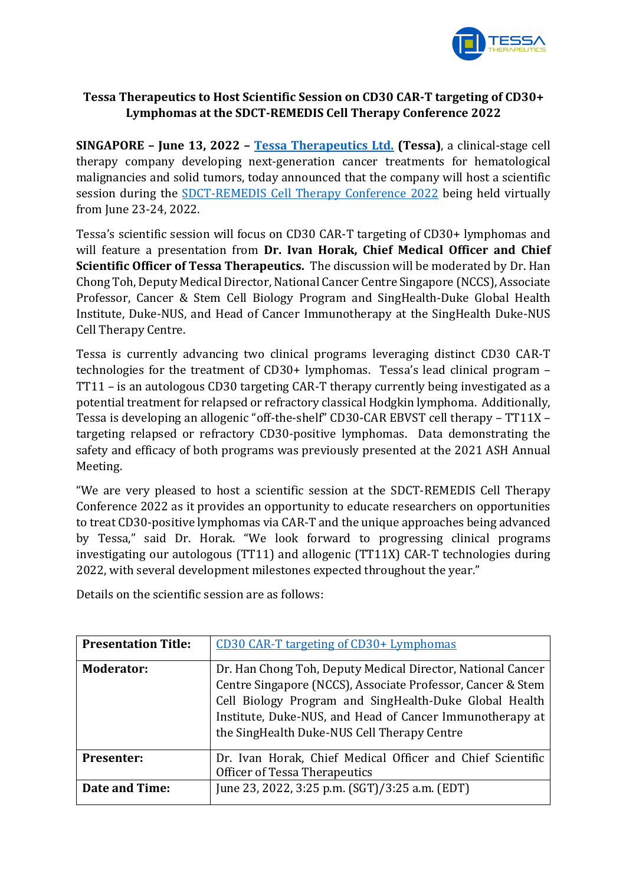

### Tessa Therapeutics to Host Scientific Session on CD30 CAR-T targeting of CD30+ Lymphomas at the SDCT-REMEDIS Cell Therapy Conference 2022

**SINGAPORE** – **June 13, 2022** – **Tessa Therapeutics Ltd. (Tessa)**, a clinical-stage cell therapy company developing next-generation cancer treatments for hematological malignancies and solid tumors, today announced that the company will host a scientific session during the SDCT-REMEDIS Cell Therapy Conference 2022 being held virtually from June 23-24, 2022.

Tessa's scientific session will focus on CD30 CAR-T targeting of CD30+ lymphomas and will feature a presentation from Dr. Ivan Horak, Chief Medical Officer and Chief **Scientific Officer of Tessa Therapeutics.** The discussion will be moderated by Dr. Han Chong Toh, Deputy Medical Director, National Cancer Centre Singapore (NCCS), Associate Professor, Cancer & Stem Cell Biology Program and SingHealth-Duke Global Health Institute, Duke-NUS, and Head of Cancer Immunotherapy at the SingHealth Duke-NUS Cell Therapy Centre.

Tessa is currently advancing two clinical programs leveraging distinct CD30 CAR-T technologies for the treatment of  $CD30+$  lymphomas. Tessa's lead clinical program  $-$ TT11  $-$  is an autologous CD30 targeting CAR-T therapy currently being investigated as a potential treatment for relapsed or refractory classical Hodgkin lymphoma. Additionally, Tessa is developing an allogenic "off-the-shelf" CD30-CAR EBVST cell therapy  $-$  TT11X – targeting relapsed or refractory CD30-positive lymphomas. Data demonstrating the safety and efficacy of both programs was previously presented at the 2021 ASH Annual Meeting.

"We are very pleased to host a scientific session at the SDCT-REMEDIS Cell Therapy Conference 2022 as it provides an opportunity to educate researchers on opportunities to treat CD30-positive lymphomas via CAR-T and the unique approaches being advanced by Tessa," said Dr. Horak. "We look forward to progressing clinical programs investigating our autologous (TT11) and allogenic (TT11X) CAR-T technologies during 2022, with several development milestones expected throughout the vear."

Details on the scientific session are as follows:

| <b>Presentation Title:</b> | CD30 CAR-T targeting of CD30+ Lymphomas                                                                                                                                                                                                                                                         |
|----------------------------|-------------------------------------------------------------------------------------------------------------------------------------------------------------------------------------------------------------------------------------------------------------------------------------------------|
| <b>Moderator:</b>          | Dr. Han Chong Toh, Deputy Medical Director, National Cancer<br>Centre Singapore (NCCS), Associate Professor, Cancer & Stem<br>Cell Biology Program and SingHealth-Duke Global Health<br>Institute, Duke-NUS, and Head of Cancer Immunotherapy at<br>the SingHealth Duke-NUS Cell Therapy Centre |
| <b>Presenter:</b>          | Dr. Ivan Horak, Chief Medical Officer and Chief Scientific<br>Officer of Tessa Therapeutics                                                                                                                                                                                                     |
| <b>Date and Time:</b>      | June 23, 2022, 3:25 p.m. (SGT)/3:25 a.m. (EDT)                                                                                                                                                                                                                                                  |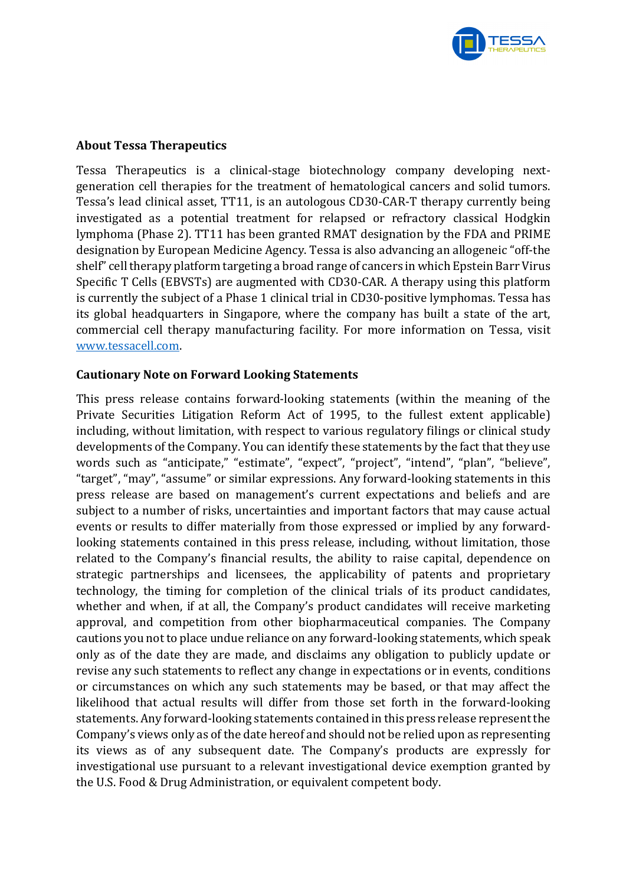

#### **About Tessa Therapeutics**

Tessa Therapeutics is a clinical-stage biotechnology company developing nextgeneration cell therapies for the treatment of hematological cancers and solid tumors. Tessa's lead clinical asset, TT11, is an autologous CD30-CAR-T therapy currently being investigated as a potential treatment for relapsed or refractory classical Hodgkin lymphoma (Phase 2). TT11 has been granted RMAT designation by the FDA and PRIME designation by European Medicine Agency. Tessa is also advancing an allogeneic "off-the shelf" cell therapy platform targeting a broad range of cancers in which Epstein Barr Virus Specific T Cells (EBVSTs) are augmented with CD30-CAR. A therapy using this platform is currently the subject of a Phase 1 clinical trial in CD30-positive lymphomas. Tessa has its global headquarters in Singapore, where the company has built a state of the art, commercial cell therapy manufacturing facility. For more information on Tessa, visit www.tessacell.com.

#### **Cautionary Note on Forward Looking Statements**

This press release contains forward-looking statements (within the meaning of the Private Securities Litigation Reform Act of 1995, to the fullest extent applicable) including, without limitation, with respect to various regulatory filings or clinical study developments of the Company. You can identify these statements by the fact that they use words such as "anticipate," "estimate", "expect", "project", "intend", "plan", "believe", "target", "may", "assume" or similar expressions. Any forward-looking statements in this press release are based on management's current expectations and beliefs and are subject to a number of risks, uncertainties and important factors that may cause actual events or results to differ materially from those expressed or implied by any forwardlooking statements contained in this press release, including, without limitation, those related to the Company's financial results, the ability to raise capital, dependence on strategic partnerships and licensees, the applicability of patents and proprietary technology, the timing for completion of the clinical trials of its product candidates, whether and when, if at all, the Company's product candidates will receive marketing approval, and competition from other biopharmaceutical companies. The Company cautions you not to place undue reliance on any forward-looking statements, which speak only as of the date they are made, and disclaims any obligation to publicly update or revise any such statements to reflect any change in expectations or in events, conditions or circumstances on which any such statements may be based, or that may affect the likelihood that actual results will differ from those set forth in the forward-looking statements. Any forward-looking statements contained in this press release represent the Company's views only as of the date hereof and should not be relied upon as representing its views as of any subsequent date. The Company's products are expressly for investigational use pursuant to a relevant investigational device exemption granted by the U.S. Food & Drug Administration, or equivalent competent body.